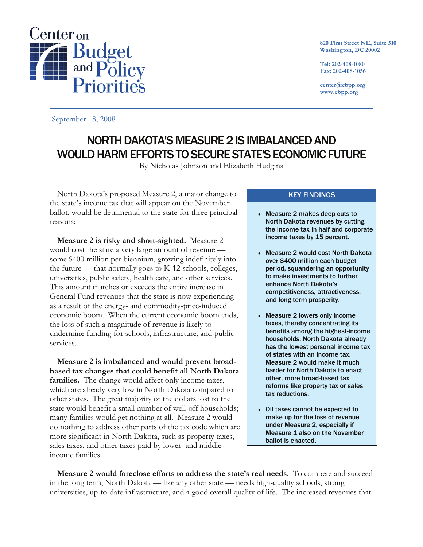

**820 First Street NE, Suite 510 Washington, DC 20002** 

**Tel: 202-408-1080 Fax: 202-408-1056** 

**center@cbpp.org www.cbpp.org** 

September 18, 2008

# NORTH DAKOTA'S MEASURE 2 IS IMBALANCED AND WOULD HARM EFFORTS TO SECURE STATE'S ECONOMIC FUTURE

By Nicholas Johnson and Elizabeth Hudgins

North Dakota's proposed Measure 2, a major change to the state's income tax that will appear on the November ballot, would be detrimental to the state for three principal reasons:

**Measure 2 is risky and short-sighted.** Measure 2 would cost the state a very large amount of revenue some \$400 million per biennium, growing indefinitely into the future — that normally goes to K-12 schools, colleges, universities, public safety, health care, and other services. This amount matches or exceeds the entire increase in General Fund revenues that the state is now experiencing as a result of the energy- and commodity-price-induced economic boom. When the current economic boom ends, the loss of such a magnitude of revenue is likely to undermine funding for schools, infrastructure, and public services.

**Measure 2 is imbalanced and would prevent broadbased tax changes that could benefit all North Dakota families.** The change would affect only income taxes, which are already very low in North Dakota compared to other states. The great majority of the dollars lost to the state would benefit a small number of well-off households; many families would get nothing at all. Measure 2 would do nothing to address other parts of the tax code which are more significant in North Dakota, such as property taxes, sales taxes, and other taxes paid by lower- and middleincome families.

## KEY FINDINGS

- Measure 2 makes deep cuts to North Dakota revenues by cutting the income tax in half and corporate income taxes by 15 percent.
- Measure 2 would cost North Dakota over \$400 million each budget period, squandering an opportunity to make investments to further enhance North Dakota's competitiveness, attractiveness, and long-term prosperity.
- Measure 2 lowers only income taxes, thereby concentrating its benefits among the highest-income households. North Dakota already has the lowest personal income tax of states with an income tax. Measure 2 would make it much harder for North Dakota to enact other, more broad-based tax reforms like property tax or sales tax reductions.
- Oil taxes cannot be expected to make up for the loss of revenue under Measure 2, especially if Measure 1 also on the November ballot is enacted.

**Measure 2 would foreclose efforts to address the state's real needs**. To compete and succeed in the long term, North Dakota — like any other state — needs high-quality schools, strong universities, up-to-date infrastructure, and a good overall quality of life. The increased revenues that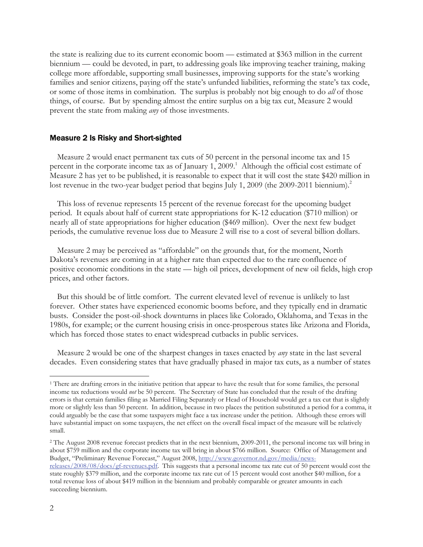the state is realizing due to its current economic boom — estimated at \$363 million in the current biennium — could be devoted, in part, to addressing goals like improving teacher training, making college more affordable, supporting small businesses, improving supports for the state's working families and senior citizens, paying off the state's unfunded liabilities, reforming the state's tax code, or some of those items in combination. The surplus is probably not big enough to do *all* of those things, of course. But by spending almost the entire surplus on a big tax cut, Measure 2 would prevent the state from making *any* of those investments.

#### Measure 2 Is Risky and Short-sighted

Measure 2 would enact permanent tax cuts of 50 percent in the personal income tax and 15 percent in the corporate income tax as of January 1, 2009.<sup>1</sup> Although the official cost estimate of Measure 2 has yet to be published, it is reasonable to expect that it will cost the state \$420 million in lost revenue in the two-year budget period that begins July 1, 2009 (the 2009-2011 biennium).<sup>2</sup>

This loss of revenue represents 15 percent of the revenue forecast for the upcoming budget period. It equals about half of current state appropriations for K-12 education (\$710 million) or nearly all of state appropriations for higher education (\$469 million). Over the next few budget periods, the cumulative revenue loss due to Measure 2 will rise to a cost of several billion dollars.

Measure 2 may be perceived as "affordable" on the grounds that, for the moment, North Dakota's revenues are coming in at a higher rate than expected due to the rare confluence of positive economic conditions in the state — high oil prices, development of new oil fields, high crop prices, and other factors.

But this should be of little comfort. The current elevated level of revenue is unlikely to last forever. Other states have experienced economic booms before, and they typically end in dramatic busts. Consider the post-oil-shock downturns in places like Colorado, Oklahoma, and Texas in the 1980s, for example; or the current housing crisis in once-prosperous states like Arizona and Florida, which has forced those states to enact widespread cutbacks in public services.

Measure 2 would be one of the sharpest changes in taxes enacted by *any* state in the last several decades. Even considering states that have gradually phased in major tax cuts, as a number of states

-

<sup>&</sup>lt;sup>1</sup> There are drafting errors in the initiative petition that appear to have the result that for some families, the personal income tax reductions would *not* be 50 percent. The Secretary of State has concluded that the result of the drafting errors is that certain families filing as Married Filing Separately or Head of Household would get a tax cut that is slightly more or slightly less than 50 percent. In addition, because in two places the petition substituted a period for a comma, it could arguably be the case that some taxpayers might face a tax increase under the petition. Although these errors will have substantial impact on some taxpayers, the net effect on the overall fiscal impact of the measure will be relatively small.

<sup>&</sup>lt;sup>2</sup> The August 2008 revenue forecast predicts that in the next biennium, 2009-2011, the personal income tax will bring in about \$759 million and the corporate income tax will bring in about \$766 million. Source: Office of Management and Budget, "Preliminary Revenue Forecast," August 2008, http://www.governor.nd.gov/media/news-

releases/2008/08/docs/gf-revenues.pdf. This suggests that a personal income tax rate cut of 50 percent would cost the state roughly \$379 million, and the corporate income tax rate cut of 15 percent would cost another \$40 million, for a total revenue loss of about \$419 million in the biennium and probably comparable or greater amounts in each succeeding biennium.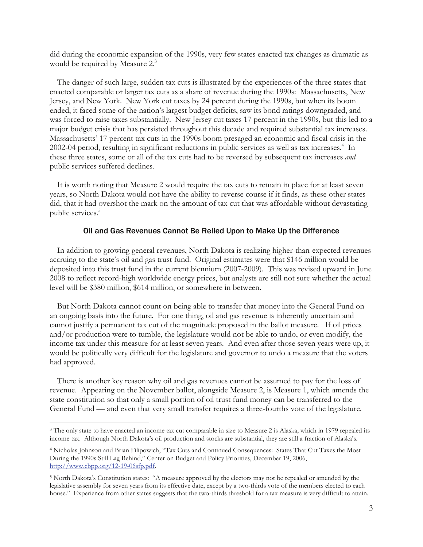did during the economic expansion of the 1990s, very few states enacted tax changes as dramatic as would be required by Measure 2.<sup>3</sup>

The danger of such large, sudden tax cuts is illustrated by the experiences of the three states that enacted comparable or larger tax cuts as a share of revenue during the 1990s: Massachusetts, New Jersey, and New York. New York cut taxes by 24 percent during the 1990s, but when its boom ended, it faced some of the nation's largest budget deficits, saw its bond ratings downgraded, and was forced to raise taxes substantially. New Jersey cut taxes 17 percent in the 1990s, but this led to a major budget crisis that has persisted throughout this decade and required substantial tax increases. Massachusetts' 17 percent tax cuts in the 1990s boom presaged an economic and fiscal crisis in the 2002-04 period, resulting in significant reductions in public services as well as tax increases.<sup>4</sup> In these three states, some or all of the tax cuts had to be reversed by subsequent tax increases *and* public services suffered declines.

It is worth noting that Measure 2 would require the tax cuts to remain in place for at least seven years, so North Dakota would not have the ability to reverse course if it finds, as these other states did, that it had overshot the mark on the amount of tax cut that was affordable without devastating public services.<sup>5</sup>

#### Oil and Gas Revenues Cannot Be Relied Upon to Make Up the Difference

In addition to growing general revenues, North Dakota is realizing higher-than-expected revenues accruing to the state's oil and gas trust fund. Original estimates were that \$146 million would be deposited into this trust fund in the current biennium (2007-2009). This was revised upward in June 2008 to reflect record-high worldwide energy prices, but analysts are still not sure whether the actual level will be \$380 million, \$614 million, or somewhere in between.

But North Dakota cannot count on being able to transfer that money into the General Fund on an ongoing basis into the future. For one thing, oil and gas revenue is inherently uncertain and cannot justify a permanent tax cut of the magnitude proposed in the ballot measure. If oil prices and/or production were to tumble, the legislature would not be able to undo, or even modify, the income tax under this measure for at least seven years. And even after those seven years were up, it would be politically very difficult for the legislature and governor to undo a measure that the voters had approved.

There is another key reason why oil and gas revenues cannot be assumed to pay for the loss of revenue. Appearing on the November ballot, alongside Measure 2, is Measure 1, which amends the state constitution so that only a small portion of oil trust fund money can be transferred to the General Fund — and even that very small transfer requires a three-fourths vote of the legislature.

 $\overline{a}$ 

<sup>&</sup>lt;sup>3</sup> The only state to have enacted an income tax cut comparable in size to Measure 2 is Alaska, which in 1979 repealed its income tax. Although North Dakota's oil production and stocks are substantial, they are still a fraction of Alaska's.

<sup>4</sup> Nicholas Johnson and Brian Filipowich, "Tax Cuts and Continued Consequences: States That Cut Taxes the Most During the 1990s Still Lag Behind," Center on Budget and Policy Priorities, December 19, 2006, http://www.cbpp.org/12-19-06sfp.pdf.

<sup>5</sup> North Dakota's Constitution states: "A measure approved by the electors may not be repealed or amended by the legislative assembly for seven years from its effective date, except by a two-thirds vote of the members elected to each house." Experience from other states suggests that the two-thirds threshold for a tax measure is very difficult to attain.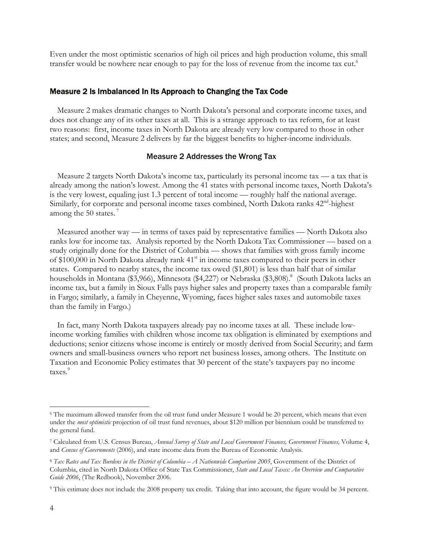Even under the most optimistic scenarios of high oil prices and high production volume, this small transfer would be nowhere near enough to pay for the loss of revenue from the income tax cut.<sup>6</sup>

## Measure 2 Is Imbalanced In Its Approach to Changing the Tax Code

Measure 2 makes dramatic changes to North Dakota's personal and corporate income taxes, and does not change any of its other taxes at all. This is a strange approach to tax reform, for at least two reasons: first, income taxes in North Dakota are already very low compared to those in other states; and second, Measure 2 delivers by far the biggest benefits to higher-income individuals.

### Measure 2 Addresses the Wrong Tax

Measure 2 targets North Dakota's income tax, particularly its personal income tax — a tax that is already among the nation's lowest. Among the 41 states with personal income taxes, North Dakota's is the very lowest, equaling just 1.3 percent of total income — roughly half the national average. Similarly, for corporate and personal income taxes combined, North Dakota ranks  $42<sup>nd</sup>$ -highest among the 50 states. $<sup>7</sup>$ </sup>

Measured another way — in terms of taxes paid by representative families — North Dakota also ranks low for income tax. Analysis reported by the North Dakota Tax Commissioner — based on a study originally done for the District of Columbia — shows that families with gross family income of \$100,000 in North Dakota already rank  $41<sup>st</sup>$  in income taxes compared to their peers in other states. Compared to nearby states, the income tax owed (\$1,801) is less than half that of similar households in Montana (\$3,966), Minnesota (\$4,227) or Nebraska (\$3,808).<sup>8</sup> (South Dakota lacks an income tax, but a family in Sioux Falls pays higher sales and property taxes than a comparable family in Fargo; similarly, a family in Cheyenne, Wyoming, faces higher sales taxes and automobile taxes than the family in Fargo.)

In fact, many North Dakota taxpayers already pay no income taxes at all. These include lowincome working families with children whose income tax obligation is eliminated by exemptions and deductions; senior citizens whose income is entirely or mostly derived from Social Security; and farm owners and small-business owners who report net business losses, among others. The Institute on Taxation and Economic Policy estimates that 30 percent of the state's taxpayers pay no income taxes.<sup>9</sup>

 $\overline{a}$ 

<sup>6</sup> The maximum allowed transfer from the oil trust fund under Measure 1 would be 20 percent, which means that even under the *most optimistic* projection of oil trust fund revenues, about \$120 million per biennium could be transferred to the general fund.

<sup>7</sup> Calculated from U.S. Census Bureau, *Annual Survey of State and Local Government Finances, Government Finances,* Volume 4, and *Census of Governments* (2006), and state income data from the Bureau of Economic Analysis.

<sup>&</sup>lt;sup>8</sup> Tax Rates and Tax Burdens in the District of Columbia – A Nationwide Comparison 2005, Government of the District of Columbia, cited in North Dakota Office of State Tax Commissioner, *State and Local Taxes: An Overview and Comparative Guide 2006*, (The Redbook), November 2006.

<sup>9</sup> This estimate does not include the 2008 property tax credit. Taking that into account, the figure would be 34 percent.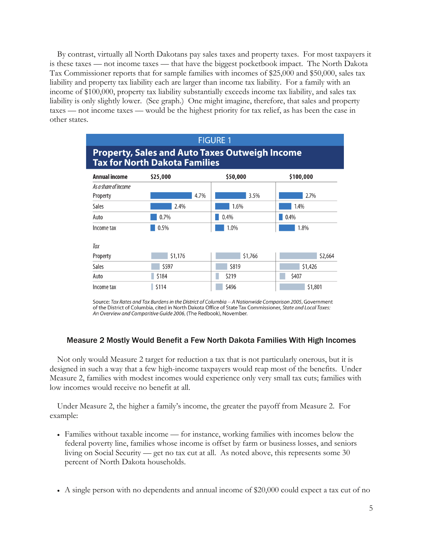By contrast, virtually all North Dakotans pay sales taxes and property taxes. For most taxpayers it is these taxes — not income taxes — that have the biggest pocketbook impact. The North Dakota Tax Commissioner reports that for sample families with incomes of \$25,000 and \$50,000, sales tax liability and property tax liability each are larger than income tax liability. For a family with an income of \$100,000, property tax liability substantially exceeds income tax liability, and sales tax liability is only slightly lower. (See graph.) One might imagine, therefore, that sales and property taxes — not income taxes — would be the highest priority for tax relief, as has been the case in other states.



Source: Tax Rates and Tax Burdens in the District of Columbia -- A Nationwide Comparison 2005, Government of the District of Columbia, cited in North Dakota Office of State Tax Commissioner, State and Local Taxes: An Overview and Comparitive Guide 2006, (The Redbook), November.

# Measure 2 Mostly Would Benefit a Few North Dakota Families With High Incomes

Not only would Measure 2 target for reduction a tax that is not particularly onerous, but it is designed in such a way that a few high-income taxpayers would reap most of the benefits. Under Measure 2, families with modest incomes would experience only very small tax cuts; families with low incomes would receive no benefit at all.

Under Measure 2, the higher a family's income, the greater the payoff from Measure 2. For example:

- Families without taxable income for instance, working families with incomes below the federal poverty line, families whose income is offset by farm or business losses, and seniors living on Social Security — get no tax cut at all. As noted above, this represents some 30 percent of North Dakota households.
- A single person with no dependents and annual income of \$20,000 could expect a tax cut of no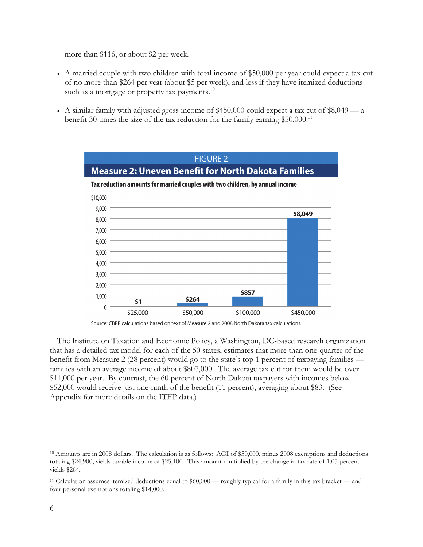more than \$116, or about \$2 per week.

- A married couple with two children with total income of \$50,000 per year could expect a tax cut of no more than \$264 per year (about \$5 per week), and less if they have itemized deductions such as a mortgage or property tax payments. $^{10}$
- A similar family with adjusted gross income of \$450,000 could expect a tax cut of \$8,049 a benefit 30 times the size of the tax reduction for the family earning  $$50,000$ .<sup>11</sup>



Source: CBPP calculations based on text of Measure 2 and 2008 North Dakota tax calculations.

The Institute on Taxation and Economic Policy, a Washington, DC-based research organization that has a detailed tax model for each of the 50 states, estimates that more than one-quarter of the benefit from Measure 2 (28 percent) would go to the state's top 1 percent of taxpaying families families with an average income of about \$807,000. The average tax cut for them would be over \$11,000 per year. By contrast, the 60 percent of North Dakota taxpayers with incomes below \$52,000 would receive just one-ninth of the benefit (11 percent), averaging about \$83. (See Appendix for more details on the ITEP data.)

-

<sup>10</sup> Amounts are in 2008 dollars. The calculation is as follows: AGI of \$50,000, minus 2008 exemptions and deductions totaling \$24,900, yields taxable income of \$25,100. This amount multiplied by the change in tax rate of 1.05 percent yields \$264.

<sup>&</sup>lt;sup>11</sup> Calculation assumes itemized deductions equal to  $$60,000$  — roughly typical for a family in this tax bracket — and four personal exemptions totaling \$14,000.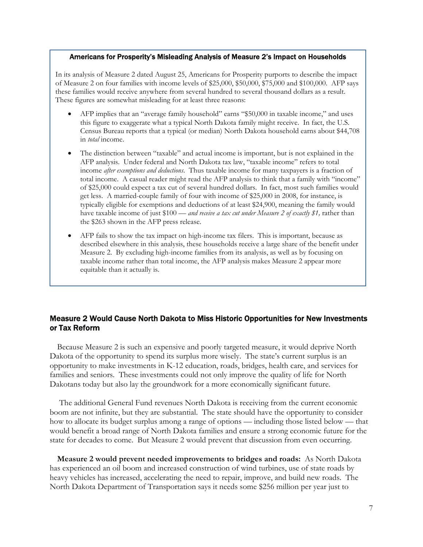#### Americans for Prosperity's Misleading Analysis of Measure 2's Impact on Households

In its analysis of Measure 2 dated August 25, Americans for Prosperity purports to describe the impact of Measure 2 on four families with income levels of \$25,000, \$50,000, \$75,000 and \$100,000. AFP says these families would receive anywhere from several hundred to several thousand dollars as a result. These figures are somewhat misleading for at least three reasons:

- AFP implies that an "average family household" earns "\$50,000 in taxable income," and uses this figure to exaggerate what a typical North Dakota family might receive. In fact, the U.S. Census Bureau reports that a typical (or median) North Dakota household earns about \$44,708 in *total* income.
- The distinction between "taxable" and actual income is important, but is not explained in the AFP analysis. Under federal and North Dakota tax law, "taxable income" refers to total income *after exemptions and deductions*. Thus taxable income for many taxpayers is a fraction of total income. A casual reader might read the AFP analysis to think that a family with "income" of \$25,000 could expect a tax cut of several hundred dollars. In fact, most such families would get less. A married-couple family of four with income of \$25,000 in 2008, for instance, is typically eligible for exemptions and deductions of at least \$24,900, meaning the family would have taxable income of just \$100 — *and receive a tax cut under Measure 2 of exactly \$1*, rather than the \$263 shown in the AFP press release.
- AFP fails to show the tax impact on high-income tax filers. This is important, because as described elsewhere in this analysis, these households receive a large share of the benefit under Measure 2. By excluding high-income families from its analysis, as well as by focusing on taxable income rather than total income, the AFP analysis makes Measure 2 appear more equitable than it actually is.

# Measure 2 Would Cause North Dakota to Miss Historic Opportunities for New Investments or Tax Reform

Because Measure 2 is such an expensive and poorly targeted measure, it would deprive North Dakota of the opportunity to spend its surplus more wisely. The state's current surplus is an opportunity to make investments in K-12 education, roads, bridges, health care, and services for families and seniors. These investments could not only improve the quality of life for North Dakotans today but also lay the groundwork for a more economically significant future.

 The additional General Fund revenues North Dakota is receiving from the current economic boom are not infinite, but they are substantial. The state should have the opportunity to consider how to allocate its budget surplus among a range of options — including those listed below — that would benefit a broad range of North Dakota families and ensure a strong economic future for the state for decades to come. But Measure 2 would prevent that discussion from even occurring.

**Measure 2 would prevent needed improvements to bridges and roads:** As North Dakota has experienced an oil boom and increased construction of wind turbines, use of state roads by heavy vehicles has increased, accelerating the need to repair, improve, and build new roads. The North Dakota Department of Transportation says it needs some \$256 million per year just to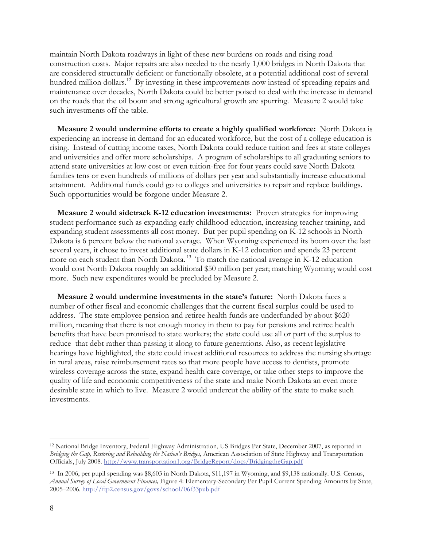maintain North Dakota roadways in light of these new burdens on roads and rising road construction costs. Major repairs are also needed to the nearly 1,000 bridges in North Dakota that are considered structurally deficient or functionally obsolete, at a potential additional cost of several hundred million dollars.<sup>12</sup> By investing in these improvements now instead of spreading repairs and maintenance over decades, North Dakota could be better poised to deal with the increase in demand on the roads that the oil boom and strong agricultural growth are spurring. Measure 2 would take such investments off the table.

**Measure 2 would undermine efforts to create a highly qualified workforce:** North Dakota is experiencing an increase in demand for an educated workforce, but the cost of a college education is rising. Instead of cutting income taxes, North Dakota could reduce tuition and fees at state colleges and universities and offer more scholarships. A program of scholarships to all graduating seniors to attend state universities at low cost or even tuition-free for four years could save North Dakota families tens or even hundreds of millions of dollars per year and substantially increase educational attainment. Additional funds could go to colleges and universities to repair and replace buildings. Such opportunities would be forgone under Measure 2.

**Measure 2 would sidetrack K-12 education investments:** Proven strategies for improving student performance such as expanding early childhood education, increasing teacher training, and expanding student assessments all cost money. But per pupil spending on K-12 schools in North Dakota is 6 percent below the national average. When Wyoming experienced its boom over the last several years, it chose to invest additional state dollars in K-12 education and spends 23 percent more on each student than North Dakota.<sup>13</sup> To match the national average in K-12 education would cost North Dakota roughly an additional \$50 million per year; matching Wyoming would cost more. Such new expenditures would be precluded by Measure 2.

**Measure 2 would undermine investments in the state's future:** North Dakota faces a number of other fiscal and economic challenges that the current fiscal surplus could be used to address. The state employee pension and retiree health funds are underfunded by about \$620 million, meaning that there is not enough money in them to pay for pensions and retiree health benefits that have been promised to state workers; the state could use all or part of the surplus to reduce that debt rather than passing it along to future generations. Also, as recent legislative hearings have highlighted, the state could invest additional resources to address the nursing shortage in rural areas, raise reimbursement rates so that more people have access to dentists, promote wireless coverage across the state, expand health care coverage, or take other steps to improve the quality of life and economic competitiveness of the state and make North Dakota an even more desirable state in which to live. Measure 2 would undercut the ability of the state to make such investments.

 $\overline{a}$ 

<sup>12</sup> National Bridge Inventory, Federal Highway Administration, US Bridges Per State, December 2007, as reported in *Bridging the Gap, Restoring and Rebuilding the Nation's Bridges,* American Association of State Highway and Transportation Officials, July 2008. http://www.transportation1.org/BridgeReport/docs/BridgingtheGap.pdf

<sup>13</sup> In 2006, per pupil spending was \$8,603 in North Dakota, \$11,197 in Wyoming, and \$9,138 nationally. U.S. Census, *Annual Survey of Local Government Finances,* Figure 4: Elementary-Secondary Per Pupil Current Spending Amounts by State, 2005–2006. http://ftp2.census.gov/govs/school/06f33pub.pdf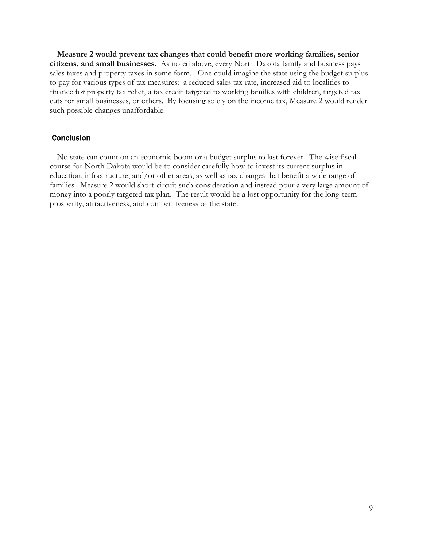**Measure 2 would prevent tax changes that could benefit more working families, senior citizens, and small businesses.** As noted above, every North Dakota family and business pays sales taxes and property taxes in some form. One could imagine the state using the budget surplus to pay for various types of tax measures: a reduced sales tax rate, increased aid to localities to finance for property tax relief, a tax credit targeted to working families with children, targeted tax cuts for small businesses, or others. By focusing solely on the income tax, Measure 2 would render such possible changes unaffordable.

## **Conclusion**

No state can count on an economic boom or a budget surplus to last forever. The wise fiscal course for North Dakota would be to consider carefully how to invest its current surplus in education, infrastructure, and/or other areas, as well as tax changes that benefit a wide range of families. Measure 2 would short-circuit such consideration and instead pour a very large amount of money into a poorly targeted tax plan. The result would be a lost opportunity for the long-term prosperity, attractiveness, and competitiveness of the state.